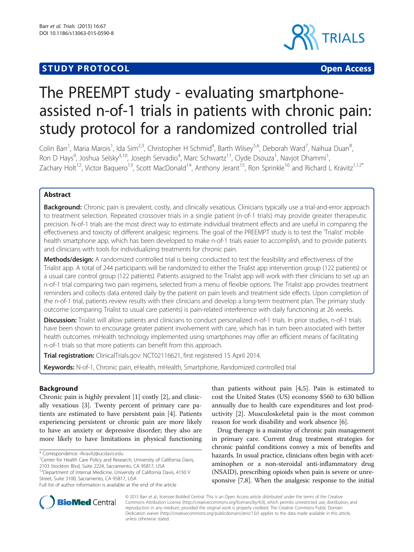# **STUDY PROTOCOL CONSUMING THE CONSUMING OPEN ACCESS**



# The PREEMPT study - evaluating smartphoneassisted n-of-1 trials in patients with chronic pain: study protocol for a randomized controlled trial

Colin Barr<sup>1</sup>, Maria Marois<sup>1</sup>, Ida Sim<sup>2,3</sup>, Christopher H Schmid<sup>4</sup>, Barth Wilsey<sup>5,6</sup>, Deborah Ward<sup>7</sup>, Naihua Duan<sup>8</sup> , Ron D Hays<sup>9</sup>, Joshua Selsky<sup>3,10</sup>, Joseph Servadio<sup>4</sup>, Marc Schwartz<sup>11</sup>, Clyde Dsouza<sup>1</sup>, Navjot Dhammi<sup>1</sup> , Zachary Holt<sup>12</sup>, Victor Baquero<sup>13</sup>, Scott MacDonald<sup>14</sup>, Anthony Jerant<sup>15</sup>, Ron Sprinkle<sup>16</sup> and Richard L Kravitz<sup>1,12\*</sup>

# Abstract

Background: Chronic pain is prevalent, costly, and clinically vexatious. Clinicians typically use a trial-and-error approach to treatment selection. Repeated crossover trials in a single patient (n-of-1 trials) may provide greater therapeutic precision. N-of-1 trials are the most direct way to estimate individual treatment effects and are useful in comparing the effectiveness and toxicity of different analgesic regimens. The goal of the PREEMPT study is to test the 'Trialist' mobile health smartphone app, which has been developed to make n-of-1 trials easier to accomplish, and to provide patients and clinicians with tools for individualizing treatments for chronic pain.

Methods/design: A randomized controlled trial is being conducted to test the feasibility and effectiveness of the Trialist app. A total of 244 participants will be randomized to either the Trialist app intervention group (122 patients) or a usual care control group (122 patients). Patients assigned to the Trialist app will work with their clinicians to set up an n-of-1 trial comparing two pain regimens, selected from a menu of flexible options. The Trialist app provides treatment reminders and collects data entered daily by the patient on pain levels and treatment side effects. Upon completion of the n-of-1 trial, patients review results with their clinicians and develop a long-term treatment plan. The primary study outcome (comparing Trialist to usual care patients) is pain-related interference with daily functioning at 26 weeks.

Discussion: Trialist will allow patients and clinicians to conduct personalized n-of-1 trials. In prior studies, n-of-1 trials have been shown to encourage greater patient involvement with care, which has in turn been associated with better health outcomes. mHealth technology implemented using smartphones may offer an efficient means of facilitating n-of-1 trials so that more patients can benefit from this approach.

Trial registration: ClinicalTrials.gov: [NCT02116621,](https://www.clinicaltrials.gov/ct2/show/NCT02116621) first registered 15 April 2014.

Keywords: N-of-1, Chronic pain, eHealth, mHealth, Smartphone, Randomized controlled trial

# Background

Chronic pain is highly prevalent [[1\]](#page-9-0) costly [\[2](#page-9-0)], and clinically vexatious [\[3\]](#page-9-0). Twenty percent of primary care patients are estimated to have persistent pain [\[4](#page-9-0)]. Patients experiencing persistent or chronic pain are more likely to have an anxiety or depressive disorder; they also are more likely to have limitations in physical functioning

<sup>1</sup> Center for Health Care Policy and Research, University of California Davis, 2103 Stockton Blvd, Suite 2224, Sacramento, CA 95817, USA

than patients without pain [\[4](#page-9-0),[5](#page-9-0)]. Pain is estimated to cost the United States (US) economy \$560 to 630 billion annually due to health care expenditures and lost productivity [\[2](#page-9-0)]. Musculoskeletal pain is the most common reason for work disability and work absence [\[6](#page-9-0)].

Drug therapy is a mainstay of chronic pain management in primary care. Current drug treatment strategies for chronic painful conditions convey a mix of benefits and hazards. In usual practice, clinicians often begin with acetaminophen or a non-steroidal anti-inflammatory drug (NSAID), prescribing opioids when pain is severe or unresponsive [\[7,8](#page-9-0)]. When the analgesic response to the initial



© 2015 Barr et al.; licensee BioMed Central. This is an Open Access article distributed under the terms of the Creative Commons Attribution License [\(http://creativecommons.org/licenses/by/4.0\)](http://creativecommons.org/licenses/by/4.0), which permits unrestricted use, distribution, and reproduction in any medium, provided the original work is properly credited. The Creative Commons Public Domain Dedication waiver [\(http://creativecommons.org/publicdomain/zero/1.0/](http://creativecommons.org/publicdomain/zero/1.0/)) applies to the data made available in this article, unless otherwise stated.

<sup>\*</sup> Correspondence: [rlkravitz@ucdavis.edu](mailto:rlkravitz@ucdavis.edu) <sup>1</sup>

 $12$ Department of Internal Medicine, University of California Davis, 4150 V Street, Suite 3100, Sacramento, CA 95817, USA

Full list of author information is available at the end of the article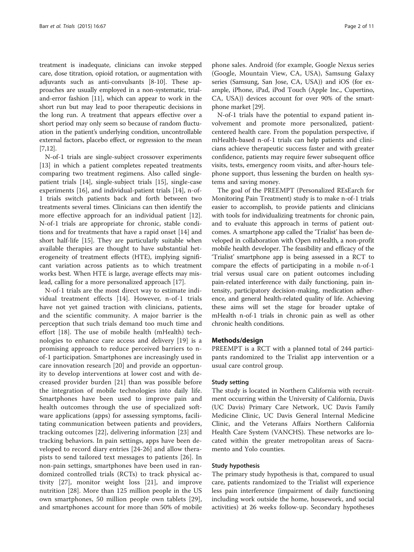treatment is inadequate, clinicians can invoke stepped care, dose titration, opioid rotation, or augmentation with adjuvants such as anti-convulsants [\[8-10](#page-9-0)]. These approaches are usually employed in a non-systematic, trialand-error fashion [[11\]](#page-9-0), which can appear to work in the short run but may lead to poor therapeutic decisions in the long run. A treatment that appears effective over a short period may only seem so because of random fluctuation in the patient's underlying condition, uncontrollable external factors, placebo effect, or regression to the mean [[7,12](#page-9-0)].

N-of-1 trials are single-subject crossover experiments [[13\]](#page-9-0) in which a patient completes repeated treatments comparing two treatment regimens. Also called singlepatient trials [[14\]](#page-9-0), single-subject trials [[15](#page-9-0)], single-case experiments [\[16\]](#page-9-0), and individual-patient trials [[14](#page-9-0)], n-of-1 trials switch patients back and forth between two treatments several times. Clinicians can then identify the more effective approach for an individual patient [\[12](#page-9-0)]. N-of-1 trials are appropriate for chronic, stable conditions and for treatments that have a rapid onset [\[14](#page-9-0)] and short half-life [[15\]](#page-9-0). They are particularly suitable when available therapies are thought to have substantial heterogeneity of treatment effects (HTE), implying significant variation across patients as to which treatment works best. When HTE is large, average effects may mislead, calling for a more personalized approach [\[17\]](#page-9-0).

N-of-1 trials are the most direct way to estimate individual treatment effects [\[14](#page-9-0)]. However, n-of-1 trials have not yet gained traction with clinicians, patients, and the scientific community. A major barrier is the perception that such trials demand too much time and effort [\[18](#page-9-0)]. The use of mobile health (mHealth) technologies to enhance care access and delivery [[19\]](#page-9-0) is a promising approach to reduce perceived barriers to nof-1 participation. Smartphones are increasingly used in care innovation research [[20\]](#page-9-0) and provide an opportunity to develop interventions at lower cost and with decreased provider burden [[21\]](#page-9-0) than was possible before the integration of mobile technologies into daily life. Smartphones have been used to improve pain and health outcomes through the use of specialized software applications (apps) for assessing symptoms, facilitating communication between patients and providers, tracking outcomes [\[22](#page-9-0)], delivering information [[23\]](#page-9-0) and tracking behaviors. In pain settings, apps have been developed to record diary entries [[24-26\]](#page-9-0) and allow therapists to send tailored text messages to patients [[26\]](#page-9-0). In non-pain settings, smartphones have been used in randomized controlled trials (RCTs) to track physical activity [[27\]](#page-9-0), monitor weight loss [[21\]](#page-9-0), and improve nutrition [[28\]](#page-9-0). More than 125 million people in the US own smartphones, 50 million people own tablets [\[29](#page-10-0)], and smartphones account for more than 50% of mobile phone sales. Android (for example, Google Nexus series (Google, Mountain View, CA, USA), Samsung Galaxy series (Samsung, San Jose, CA, USA)) and iOS (for example, iPhone, iPad, iPod Touch (Apple Inc., Cupertino, CA, USA)) devices account for over 90% of the smartphone market [\[29\]](#page-10-0).

N-of-1 trials have the potential to expand patient involvement and promote more personalized, patientcentered health care. From the population perspective, if mHealth-based n-of-1 trials can help patients and clinicians achieve therapeutic success faster and with greater confidence, patients may require fewer subsequent office visits, tests, emergency room visits, and after-hours telephone support, thus lessening the burden on health systems and saving money.

The goal of the PREEMPT (Personalized REsEarch for Monitoring Pain Treatment) study is to make n-of-1 trials easier to accomplish, to provide patients and clinicians with tools for individualizing treatments for chronic pain, and to evaluate this approach in terms of patient outcomes. A smartphone app called the 'Trialist' has been developed in collaboration with Open mHealth, a non-profit mobile health developer. The feasibility and efficacy of the 'Trialist' smartphone app is being assessed in a RCT to compare the effects of participating in a mobile n-of-1 trial versus usual care on patient outcomes including pain-related interference with daily functioning, pain intensity, participatory decision-making, medication adherence, and general health-related quality of life. Achieving these aims will set the stage for broader uptake of mHealth n-of-1 trials in chronic pain as well as other chronic health conditions.

#### Methods/design

PREEMPT is a RCT with a planned total of 244 participants randomized to the Trialist app intervention or a usual care control group.

#### Study setting

The study is located in Northern California with recruitment occurring within the University of California, Davis (UC Davis) Primary Care Network, UC Davis Family Medicine Clinic, UC Davis General Internal Medicine Clinic, and the Veterans Affairs Northern California Health Care System (VANCHS). These networks are located within the greater metropolitan areas of Sacramento and Yolo counties.

#### Study hypothesis

The primary study hypothesis is that, compared to usual care, patients randomized to the Trialist will experience less pain interference (impairment of daily functioning including work outside the home, housework, and social activities) at 26 weeks follow-up. Secondary hypotheses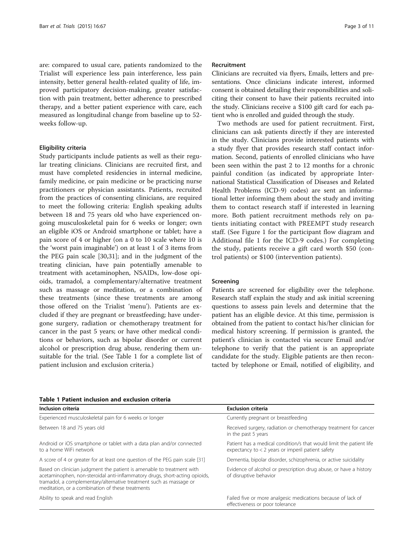are: compared to usual care, patients randomized to the Trialist will experience less pain interference, less pain intensity, better general health-related quality of life, improved participatory decision-making, greater satisfaction with pain treatment, better adherence to prescribed therapy, and a better patient experience with care, each measured as longitudinal change from baseline up to 52 weeks follow-up.

#### Eligibility criteria

Study participants include patients as well as their regular treating clinicians. Clinicians are recruited first, and must have completed residencies in internal medicine, family medicine, or pain medicine or be practicing nurse practitioners or physician assistants. Patients, recruited from the practices of consenting clinicians, are required to meet the following criteria: English speaking adults between 18 and 75 years old who have experienced ongoing musculoskeletal pain for 6 weeks or longer; own an eligible iOS or Android smartphone or tablet; have a pain score of 4 or higher (on a 0 to 10 scale where 10 is the 'worst pain imaginable') on at least 1 of 3 items from the PEG pain scale [\[30,31\]](#page-10-0); and in the judgment of the treating clinician, have pain potentially amenable to treatment with acetaminophen, NSAIDs, low-dose opioids, tramadol, a complementary/alternative treatment such as massage or meditation, or a combination of these treatments (since these treatments are among those offered on the Trialist 'menu'). Patients are excluded if they are pregnant or breastfeeding; have undergone surgery, radiation or chemotherapy treatment for cancer in the past 5 years; or have other medical conditions or behaviors, such as bipolar disorder or current alcohol or prescription drug abuse, rendering them unsuitable for the trial. (See Table 1 for a complete list of patient inclusion and exclusion criteria.)

#### Recruitment

Clinicians are recruited via flyers, Emails, letters and presentations. Once clinicians indicate interest, informed consent is obtained detailing their responsibilities and soliciting their consent to have their patients recruited into the study. Clinicians receive a \$100 gift card for each patient who is enrolled and guided through the study.

Two methods are used for patient recruitment. First, clinicians can ask patients directly if they are interested in the study. Clinicians provide interested patients with a study flyer that provides research staff contact information. Second, patients of enrolled clinicians who have been seen within the past 2 to 12 months for a chronic painful condition (as indicated by appropriate International Statistical Classification of Diseases and Related Health Problems (ICD-9) codes) are sent an informational letter informing them about the study and inviting them to contact research staff if interested in learning more. Both patient recruitment methods rely on patients initiating contact with PREEMPT study research staff. (See Figure [1](#page-3-0) for the participant flow diagram and Additional file [1](#page-8-0) for the ICD-9 codes.) For completing the study, patients receive a gift card worth \$50 (control patients) or \$100 (intervention patients).

# Screening

Patients are screened for eligibility over the telephone. Research staff explain the study and ask initial screening questions to assess pain levels and determine that the patient has an eligible device. At this time, permission is obtained from the patient to contact his/her clinician for medical history screening. If permission is granted, the patient's clinician is contacted via secure Email and/or telephone to verify that the patient is an appropriate candidate for the study. Eligible patients are then recontacted by telephone or Email, notified of eligibility, and

| Table 1 Patient inclusion and exclusion criteria                                                                                                                                                                                                                               |                                                                                                                            |  |  |  |  |  |  |  |  |
|--------------------------------------------------------------------------------------------------------------------------------------------------------------------------------------------------------------------------------------------------------------------------------|----------------------------------------------------------------------------------------------------------------------------|--|--|--|--|--|--|--|--|
| Inclusion criteria                                                                                                                                                                                                                                                             | <b>Exclusion criteria</b>                                                                                                  |  |  |  |  |  |  |  |  |
| Experienced musculoskeletal pain for 6 weeks or longer                                                                                                                                                                                                                         | Currently pregnant or breastfeeding                                                                                        |  |  |  |  |  |  |  |  |
| Between 18 and 75 years old                                                                                                                                                                                                                                                    | Received surgery, radiation or chemotherapy treatment for cancer<br>in the past 5 years                                    |  |  |  |  |  |  |  |  |
| Android or iOS smartphone or tablet with a data plan and/or connected<br>to a home WiFi network                                                                                                                                                                                | Patient has a medical condition/s that would limit the patient life<br>expectancy to $<$ 2 years or imperil patient safety |  |  |  |  |  |  |  |  |
| A score of 4 or greater for at least one question of the PEG pain scale [31]                                                                                                                                                                                                   | Dementia, bipolar disorder, schizophrenia, or active suicidality                                                           |  |  |  |  |  |  |  |  |
| Based on clinician judgment the patient is amenable to treatment with<br>acetaminophen, non-steroidal anti-inflammatory drugs, short-acting opioids,<br>tramadol, a complementary/alternative treatment such as massage or<br>meditation, or a combination of these treatments | Evidence of alcohol or prescription drug abuse, or have a history<br>of disruptive behavior                                |  |  |  |  |  |  |  |  |
| Ability to speak and read English                                                                                                                                                                                                                                              | Failed five or more analgesic medications because of lack of<br>effectiveness or poor tolerance                            |  |  |  |  |  |  |  |  |

# Table 1 Patient inclusion and exclusion criteria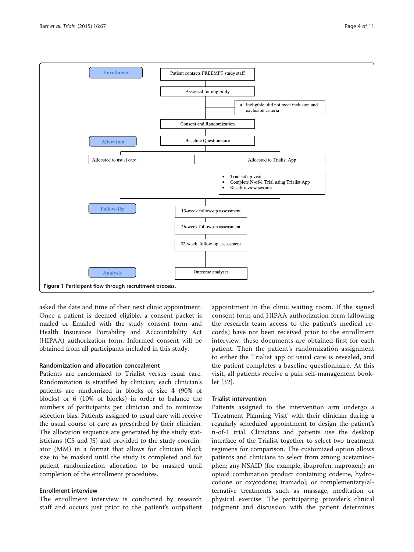

<span id="page-3-0"></span>

asked the date and time of their next clinic appointment. Once a patient is deemed eligible, a consent packet is mailed or Emailed with the study consent form and Health Insurance Portability and Accountability Act (HIPAA) authorization form. Informed consent will be obtained from all participants included in this study.

#### Randomization and allocation concealment

Patients are randomized to Trialist versus usual care. Randomization is stratified by clinician; each clinician's patients are randomized in blocks of size 4 (90% of blocks) or 6 (10% of blocks) in order to balance the numbers of participants per clinician and to minimize selection bias. Patients assigned to usual care will receive the usual course of care as prescribed by their clinician. The allocation sequence are generated by the study statisticians (CS and JS) and provided to the study coordinator (MM) in a format that allows for clinician block size to be masked until the study is completed and for patient randomization allocation to be masked until completion of the enrollment procedures.

#### Enrollment interview

The enrollment interview is conducted by research staff and occurs just prior to the patient's outpatient

appointment in the clinic waiting room. If the signed consent form and HIPAA authorization form (allowing the research team access to the patient's medical records) have not been received prior to the enrollment interview, these documents are obtained first for each patient. Then the patient's randomization assignment to either the Trialist app or usual care is revealed, and the patient completes a baseline questionnaire. At this visit, all patients receive a pain self-management booklet [[32\]](#page-10-0).

# Trialist intervention

Patients assigned to the intervention arm undergo a 'Treatment Planning Visit' with their clinician during a regularly scheduled appointment to design the patient's n-of-1 trial. Clinicians and patients use the desktop interface of the Trialist together to select two treatment regimens for comparison. The customized option allows patients and clinicians to select from among acetaminophen; any NSAID (for example, ibuprofen, naproxen); an opioid combination product containing codeine, hydrocodone or oxycodone; tramadol; or complementary/alternative treatments such as massage, meditation or physical exercise. The participating provider's clinical judgment and discussion with the patient determines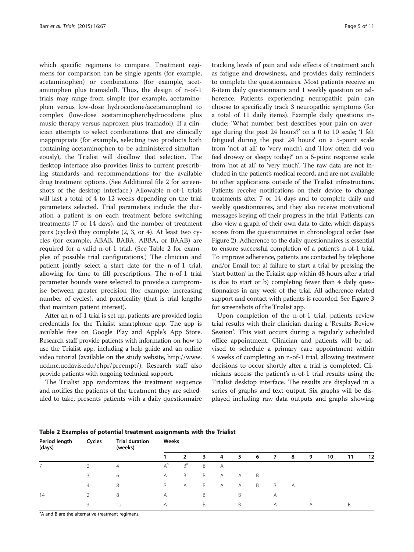which specific regimens to compare. Treatment regimens for comparison can be single agents (for example, acetaminophen) or combinations (for example, acetaminophen plus tramadol). Thus, the design of n-of-1 trials may range from simple (for example, acetaminophen versus low-dose hydrocodone/acetaminophen) to complex (low-dose acetaminophen/hydrocodone plus music therapy versus naproxen plus tramadol). If a clinician attempts to select combinations that are clinically inappropriate (for example, selecting two products both containing acetaminophen to be administered simultaneously), the Trialist will disallow that selection. The desktop interface also provides links to current prescribing standards and recommendations for the available drug treatment options. (See Additional file [2](#page-8-0) for screenshots of the desktop interface.) Allowable n-of-1 trials will last a total of 4 to 12 weeks depending on the trial parameters selected. Trial parameters include the duration a patient is on each treatment before switching treatments (7 or 14 days), and the number of treatment pairs (cycles) they complete (2, 3, or 4). At least two cycles (for example, ABAB, BABA, ABBA, or BAAB) are required for a valid n-of-1 trial. (See Table 2 for examples of possible trial configurations.) The clinician and patient jointly select a start date for the n-of-1 trial, allowing for time to fill prescriptions. The n-of-1 trial parameter bounds were selected to provide a compromise between greater precision (for example, increasing number of cycles), and practicality (that is trial lengths that maintain patient interest).

After an n-of-1 trial is set up, patients are provided login credentials for the Trialist smartphone app. The app is available free on Google Play and Apple's App Store. Research staff provide patients with information on how to use the Trialist app, including a help guide and an online video tutorial (available on the study website, [http://www.](http://www.ucdmc.ucdavis.edu/chpr/preempt/) [ucdmc.ucdavis.edu/chpr/preempt/](http://www.ucdmc.ucdavis.edu/chpr/preempt/)). Research staff also provide patients with ongoing technical support.

The Trialist app randomizes the treatment sequence and notifies the patients of the treatment they are scheduled to take, presents patients with a daily questionnaire

tracking levels of pain and side effects of treatment such as fatigue and drowsiness, and provides daily reminders to complete the questionnaires. Most patients receive an 8-item daily questionnaire and 1 weekly question on adherence. Patients experiencing neuropathic pain can choose to specifically track 3 neuropathic symptoms (for a total of 11 daily items). Example daily questions include: 'What number best describes your pain on average during the past 24 hours?' on a 0 to 10 scale; 'I felt fatigued during the past 24 hours' on a 5-point scale from 'not at all' to 'very much'; and 'How often did you feel drowsy or sleepy today?' on a 6-point response scale from 'not at all' to 'very much'. The raw data are not included in the patient's medical record, and are not available to other applications outside of the Trialist infrastructure. Patients receive notifications on their device to change treatments after 7 or 14 days and to complete daily and weekly questionnaires, and they also receive motivational messages keying off their progress in the trial. Patients can also view a graph of their own data to date, which displays scores from the questionnaires in chronological order (see Figure [2](#page-5-0)). Adherence to the daily questionnaires is essential to ensure successful completion of a patient's n-of-1 trial. To improve adherence, patients are contacted by telephone and/or Email for: a) failure to start a trial by pressing the 'start button' in the Trialist app within 48 hours after a trial is due to start or b) completing fewer than 4 daily questionnaires in any week of the trial. All adherence-related support and contact with patients is recorded. See Figure [3](#page-6-0) for screenshots of the Trialist app.

Upon completion of the n-of-1 trial, patients review trial results with their clinician during a 'Results Review Session'. This visit occurs during a regularly scheduled office appointment. Clinician and patients will be advised to schedule a primary care appointment within 4 weeks of completing an n-of-1 trial, allowing treatment decisions to occur shortly after a trial is completed. Clinicians access the patient's n-of-1 trial results using the Trialist desktop interface. The results are displayed in a series of graphs and text output. Six graphs will be displayed including raw data outputs and graphs showing

Table 2 Examples of potential treatment assignments with the Trialist

| Period length<br>(days) | Cycles | <b>Trial duration</b><br>(weeks) | Weeks |                |   |   |   |   |   |   |   |    |    |    |
|-------------------------|--------|----------------------------------|-------|----------------|---|---|---|---|---|---|---|----|----|----|
|                         |        |                                  |       | $\overline{2}$ | 3 | 4 | 5 | 6 | 7 | 8 | 9 | 10 | 11 | 12 |
|                         |        | 4                                | $A^a$ | $B^a$          | B | A |   |   |   |   |   |    |    |    |
|                         |        | 6                                | A     | B              | B | A | A | B |   |   |   |    |    |    |
|                         | 4      | 8                                | B     | Α              | B | A | A | B | B | A |   |    |    |    |
| 14                      |        | 8                                | A     |                | B |   | B |   | Α |   |   |    |    |    |
|                         |        | 12                               | A     |                | B |   | B |   | Α |   | Α |    | B  |    |

<sup>a</sup>A and B are the alternative treatment regimens.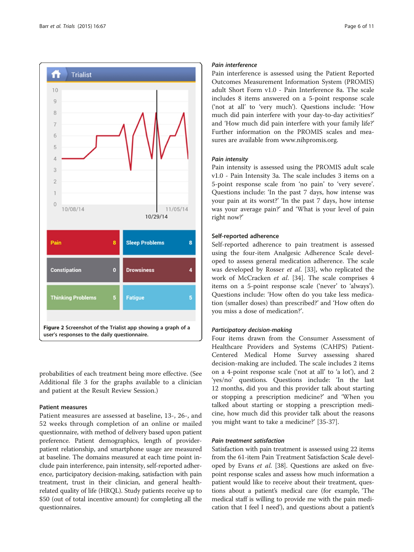<span id="page-5-0"></span>

probabilities of each treatment being more effective. (See Additional file [3](#page-8-0) for the graphs available to a clinician and patient at the Result Review Session.)

# Patient measures

Patient measures are assessed at baseline, 13-, 26-, and 52 weeks through completion of an online or mailed questionnaire, with method of delivery based upon patient preference. Patient demographics, length of providerpatient relationship, and smartphone usage are measured at baseline. The domains measured at each time point include pain interference, pain intensity, self-reported adherence, participatory decision-making, satisfaction with pain treatment, trust in their clinician, and general healthrelated quality of life (HRQL). Study patients receive up to \$50 (out of total incentive amount) for completing all the questionnaires.

#### Pain interference

Pain interference is assessed using the Patient Reported Outcomes Measurement Information System (PROMIS) adult Short Form v1.0 - Pain Interference 8a. The scale includes 8 items answered on a 5-point response scale ('not at all' to 'very much'). Questions include: 'How much did pain interfere with your day-to-day activities?' and 'How much did pain interfere with your family life?' Further information on the PROMIS scales and measures are available from [www.nihpromis.org.](http://www.nihpromis.org/)

#### Pain intensity

Pain intensity is assessed using the PROMIS adult scale v1.0 - Pain Intensity 3a. The scale includes 3 items on a 5-point response scale from 'no pain' to 'very severe'. Questions include: 'In the past 7 days, how intense was your pain at its worst?' 'In the past 7 days, how intense was your average pain?' and 'What is your level of pain right now?'

#### Self-reported adherence

Self-reported adherence to pain treatment is assessed using the four-item Analgesic Adherence Scale developed to assess general medication adherence. The scale was developed by Rosser et al. [[33](#page-10-0)], who replicated the work of McCracken et al. [[34\]](#page-10-0). The scale comprises 4 items on a 5-point response scale ('never' to 'always'). Questions include: 'How often do you take less medication (smaller doses) than prescribed?' and 'How often do you miss a dose of medication?'.

# Participatory decision-making

Four items drawn from the Consumer Assessment of Healthcare Providers and Systems (CAHPS) Patient-Centered Medical Home Survey assessing shared decision-making are included. The scale includes 2 items on a 4-point response scale ('not at all' to 'a lot'), and 2 'yes/no' questions. Questions include: 'In the last 12 months, did you and this provider talk about starting or stopping a prescription medicine?' and 'When you talked about starting or stopping a prescription medicine, how much did this provider talk about the reasons you might want to take a medicine?' [\[35](#page-10-0)-[37\]](#page-10-0).

#### Pain treatment satisfaction

Satisfaction with pain treatment is assessed using 22 items from the 61-item Pain Treatment Satisfaction Scale devel-oped by Evans et al. [[38](#page-10-0)]. Questions are asked on fivepoint response scales and assess how much information a patient would like to receive about their treatment, questions about a patient's medical care (for example, 'The medical staff is willing to provide me with the pain medication that I feel I need'), and questions about a patient's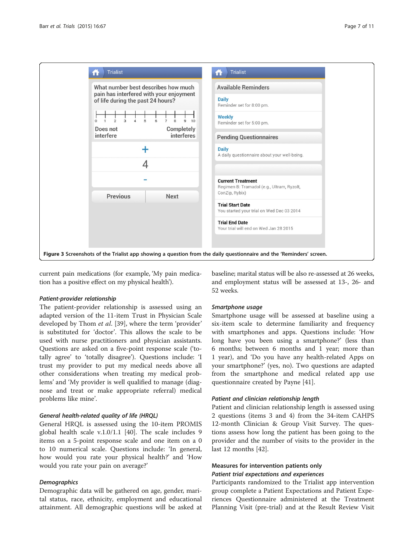

<span id="page-6-0"></span>

current pain medications (for example, 'My pain medication has a positive effect on my physical health').

# Patient-provider relationship

The patient-provider relationship is assessed using an adapted version of the 11-item Trust in Physician Scale developed by Thom et al. [\[39\]](#page-10-0), where the term 'provider' is substituted for 'doctor'. This allows the scale to be used with nurse practitioners and physician assistants. Questions are asked on a five-point response scale ('totally agree' to 'totally disagree'). Questions include: 'I trust my provider to put my medical needs above all other considerations when treating my medical problems' and 'My provider is well qualified to manage (diagnose and treat or make appropriate referral) medical problems like mine'.

#### General health-related quality of life (HRQL)

General HRQL is assessed using the 10-item PROMIS global health scale v.1.0/1.1 [\[40](#page-10-0)]. The scale includes 9 items on a 5-point response scale and one item on a 0 to 10 numerical scale. Questions include: 'In general, how would you rate your physical health?' and 'How would you rate your pain on average?'

# **Demographics**

Demographic data will be gathered on age, gender, marital status, race, ethnicity, employment and educational attainment. All demographic questions will be asked at

baseline; marital status will be also re-assessed at 26 weeks, and employment status will be assessed at 13-, 26- and 52 weeks.

#### Smartphone usage

Smartphone usage will be assessed at baseline using a six-item scale to determine familiarity and frequency with smartphones and apps. Questions include: 'How long have you been using a smartphone?' (less than 6 months; between 6 months and 1 year; more than 1 year), and 'Do you have any health-related Apps on your smartphone?' (yes, no). Two questions are adapted from the smartphone and medical related app use questionnaire created by Payne [\[41](#page-10-0)].

#### Patient and clinician relationship length

Patient and clinician relationship length is assessed using 2 questions (items 3 and 4) from the 34-item CAHPS 12-month Clinician & Group Visit Survey. The questions assess how long the patient has been going to the provider and the number of visits to the provider in the last 12 months [[42](#page-10-0)].

# Measures for intervention patients only Patient trial expectations and experiences

Participants randomized to the Trialist app intervention group complete a Patient Expectations and Patient Experiences Questionnaire administered at the Treatment Planning Visit (pre-trial) and at the Result Review Visit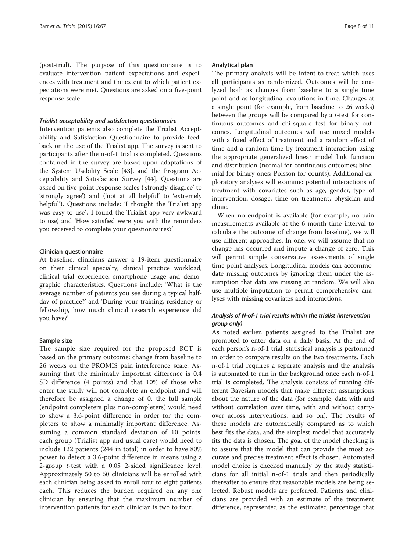(post-trial). The purpose of this questionnaire is to evaluate intervention patient expectations and experiences with treatment and the extent to which patient expectations were met. Questions are asked on a five-point response scale.

#### Trialist acceptability and satisfaction questionnaire

Intervention patients also complete the Trialist Acceptability and Satisfaction Questionnaire to provide feedback on the use of the Trialist app. The survey is sent to participants after the n-of-1 trial is completed. Questions contained in the survey are based upon adaptations of the System Usability Scale [[43\]](#page-10-0), and the Program Acceptability and Satisfaction Survey [[44](#page-10-0)]. Questions are asked on five-point response scales ('strongly disagree' to 'strongly agree') and ('not at all helpful' to 'extremely helpful'). Questions include: 'I thought the Trialist app was easy to use', 'I found the Trialist app very awkward to use', and 'How satisfied were you with the reminders you received to complete your questionnaires?'

#### Clinician questionnaire

At baseline, clinicians answer a 19-item questionnaire on their clinical specialty, clinical practice workload, clinical trial experience, smartphone usage and demographic characteristics. Questions include: 'What is the average number of patients you see during a typical halfday of practice?' and 'During your training, residency or fellowship, how much clinical research experience did you have?'

#### Sample size

The sample size required for the proposed RCT is based on the primary outcome: change from baseline to 26 weeks on the PROMIS pain interference scale. Assuming that the minimally important difference is 0.4 SD difference (4 points) and that 10% of those who enter the study will not complete an endpoint and will therefore be assigned a change of 0, the full sample (endpoint completers plus non-completers) would need to show a 3.6-point difference in order for the completers to show a minimally important difference. Assuming a common standard deviation of 10 points, each group (Trialist app and usual care) would need to include 122 patients (244 in total) in order to have 80% power to detect a 3.6-point difference in means using a 2-group t-test with a 0.05 2-sided significance level. Approximately 50 to 60 clinicians will be enrolled with each clinician being asked to enroll four to eight patients each. This reduces the burden required on any one clinician by ensuring that the maximum number of intervention patients for each clinician is two to four.

#### Analytical plan

The primary analysis will be intent-to-treat which uses all participants as randomized. Outcomes will be analyzed both as changes from baseline to a single time point and as longitudinal evolutions in time. Changes at a single point (for example, from baseline to 26 weeks) between the groups will be compared by a t-test for continuous outcomes and chi-square test for binary outcomes. Longitudinal outcomes will use mixed models with a fixed effect of treatment and a random effect of time and a random time by treatment interaction using the appropriate generalized linear model link function and distribution (normal for continuous outcomes; binomial for binary ones; Poisson for counts). Additional exploratory analyses will examine: potential interactions of treatment with covariates such as age, gender, type of intervention, dosage, time on treatment, physician and clinic.

When no endpoint is available (for example, no pain measurements available at the 6-month time interval to calculate the outcome of change from baseline), we will use different approaches. In one, we will assume that no change has occurred and impute a change of zero. This will permit simple conservative assessments of single time point analyses. Longitudinal models can accommodate missing outcomes by ignoring them under the assumption that data are missing at random. We will also use multiple imputation to permit comprehensive analyses with missing covariates and interactions.

# Analysis of N-of-1 trial results within the trialist (intervention group only)

As noted earlier, patients assigned to the Trialist are prompted to enter data on a daily basis. At the end of each person's n-of-1 trial, statistical analysis is performed in order to compare results on the two treatments. Each n-of-1 trial requires a separate analysis and the analysis is automated to run in the background once each n-of-1 trial is completed. The analysis consists of running different Bayesian models that make different assumptions about the nature of the data (for example, data with and without correlation over time, with and without carryover across interventions, and so on). The results of these models are automatically compared as to which best fits the data, and the simplest model that accurately fits the data is chosen. The goal of the model checking is to assure that the model that can provide the most accurate and precise treatment effect is chosen. Automated model choice is checked manually by the study statisticians for all initial n-of-1 trials and then periodically thereafter to ensure that reasonable models are being selected. Robust models are preferred. Patients and clinicians are provided with an estimate of the treatment difference, represented as the estimated percentage that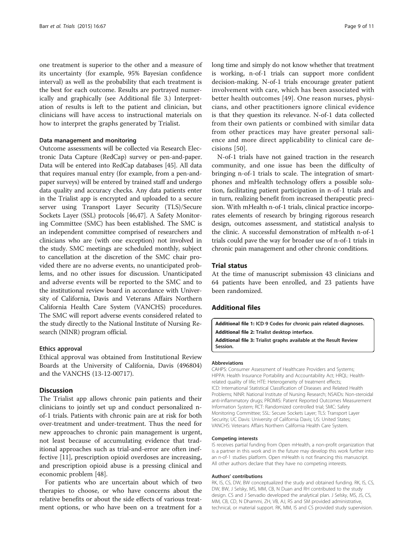<span id="page-8-0"></span>one treatment is superior to the other and a measure of its uncertainty (for example, 95% Bayesian confidence interval) as well as the probability that each treatment is the best for each outcome. Results are portrayed numerically and graphically (see Additional file 3.) Interpretation of results is left to the patient and clinician, but clinicians will have access to instructional materials on how to interpret the graphs generated by Trialist.

#### Data management and monitoring

Outcome assessments will be collected via Research Electronic Data Capture (RedCap) survey or pen-and-paper. Data will be entered into RedCap databases [\[45](#page-10-0)]. All data that requires manual entry (for example, from a pen-andpaper surveys) will be entered by trained staff and undergo data quality and accuracy checks. Any data patients enter in the Trialist app is encrypted and uploaded to a secure server using Transport Layer Security (TLS)/Secure Sockets Layer (SSL) protocols [[46,47\]](#page-10-0). A Safety Monitoring Committee (SMC) has been established. The SMC is an independent committee comprised of researchers and clinicians who are (with one exception) not involved in the study. SMC meetings are scheduled monthly, subject to cancellation at the discretion of the SMC chair provided there are no adverse events, no unanticipated problems, and no other issues for discussion. Unanticipated and adverse events will be reported to the SMC and to the institutional review board in accordance with University of California, Davis and Veterans Affairs Northern California Health Care System (VANCHS) procedures. The SMC will report adverse events considered related to the study directly to the National Institute of Nursing Research (NINR) program official.

#### Ethics approval

Ethical approval was obtained from Institutional Review Boards at the University of California, Davis (496804) and the VANCHS (13-12-00717).

# **Discussion**

The Trialist app allows chronic pain patients and their clinicians to jointly set up and conduct personalized nof-1 trials. Patients with chronic pain are at risk for both over-treatment and under-treatment. Thus the need for new approaches to chronic pain management is urgent, not least because of accumulating evidence that traditional approaches such as trial-and-error are often ineffective [\[11](#page-9-0)], prescription opioid overdoses are increasing, and prescription opioid abuse is a pressing clinical and economic problem [[48](#page-10-0)].

For patients who are uncertain about which of two therapies to choose, or who have concerns about the relative benefits or about the side effects of various treatment options, or who have been on a treatment for a

long time and simply do not know whether that treatment is working, n-of-1 trials can support more confident decision-making. N-of-1 trials encourage greater patient involvement with care, which has been associated with better health outcomes [[49](#page-10-0)]. One reason nurses, physicians, and other practitioners ignore clinical evidence is that they question its relevance. N-of-1 data collected from their own patients or combined with similar data from other practices may have greater personal salience and more direct applicability to clinical care decisions [[50](#page-10-0)].

N-of-1 trials have not gained traction in the research community, and one issue has been the difficulty of bringing n-of-1 trials to scale. The integration of smartphones and mHealth technology offers a possible solution, facilitating patient participation in n-of-1 trials and in turn, realizing benefit from increased therapeutic precision. With mHealth n-of-1 trials, clinical practice incorporates elements of research by bringing rigorous research design, outcomes assessment, and statistical analysis to the clinic. A successful demonstration of mHealth n-of-1 trials could pave the way for broader use of n-of-1 trials in chronic pain management and other chronic conditions.

#### Trial status

At the time of manuscript submission 43 clinicians and 64 patients have been enrolled, and 23 patients have been randomized.

#### Additional files

[Additional file 1:](http://www.trialsjournal.com/content/supplementary/s13063-015-0590-8-s1.pdf) ICD-9 Codes for chronic pain related diagnoses. [Additional file 2:](http://www.trialsjournal.com/content/supplementary/s13063-015-0590-8-s2.pdf) Trialist desktop interface. [Additional file 3:](http://www.trialsjournal.com/content/supplementary/s13063-015-0590-8-s3.pdf) Trialist graphs available at the Result Review Session.

#### **Abbreviations**

CAHPS: Consumer Assessment of Healthcare Providers and Systems; HIPPA: Health Insurance Portability and Accountability Act; HRQL: Healthrelated quality of life; HTE: Heterogeneity of treatment effects; ICD: International Statistical Classification of Diseases and Related Health Problems; NINR: National Institute of Nursing Research; NSAIDs: Non-steroidal anti-inflammatory drugs; PROMIS: Patient Reported Outcomes Measurement Information System; RCT: Randomized controlled trial; SMC: Safety Monitoring Committee; SSL: Secure Sockets Layer; TLS: Transport Layer Security; UC Davis: University of California Davis; US: United States; VANCHS: Veterans Affairs Northern California Health Care System.

#### Competing interests

IS receives partial funding from Open mHealth, a non-profit organization that is a partner in this work and in the future may develop this work further into an n-of-1 studies platform. Open mHealth is not financing this manuscript. All other authors declare that they have no competing interests.

#### Authors' contributions

RK, IS, CS, DW, BW conceptualized the study and obtained funding. RK, IS, CS, DW, BW, J Selsky, MS, MM, CB, N Duan and RH contributed to the study design. CS and J Servadio developed the analytical plan. J Selsky, MS, JS, CS, MM, CB, CD, N Dhammi, ZH, VB, AJ, RS and SM provided administrative, technical, or material support. RK, MM, IS and CS provided study supervision.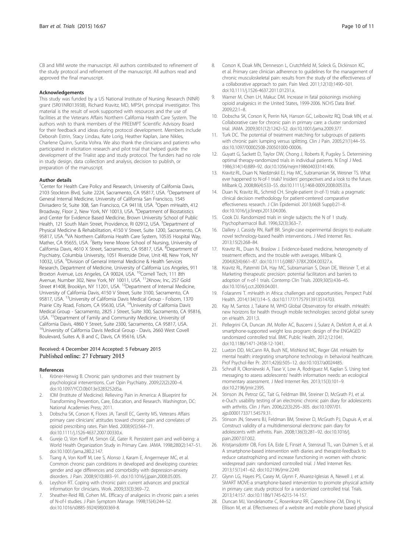<span id="page-9-0"></span>CB and MM wrote the manuscript. All authors contributed to refinement of the study protocol and refinement of the manuscript. All authors read and approved the final manuscript.

#### Acknowledgements

This study was funded by a US National Institute of Nursing Research (NINR) grant (5R01NR013938), Richard Kravitz, MD, MPSH, principal investigator. This material is the result of work supported with resources and the use of facilities at the Veterans Affairs Northern California Health Care System. The authors wish to thank members of the PREEMPT Scientific Advisory Board for their feedback and ideas during protocol development. Members include Deborah Estrin, Stacy Lindau, Kate Lorig, Heather Kaplan, Jane Nikles, Charlene Quinn, Sunita Vohra. We also thank the clinicians and patients who participated in elicitation research and pilot trial that helped guide the development of the Trialist app and study protocol. The funders had no role in study design, data collection and analysis, decision to publish, or preparation of the manuscript.

#### Author details

<sup>1</sup> Center for Health Care Policy and Research, University of California Davis, 2103 Stockton Blvd, Suite 2224, Sacramento, CA 95817, USA. <sup>2</sup>Department of General Internal Medicine, University of California San Francisco, 1545 Divisadero St, Suite 308, San Francisco, CA 94118, USA. <sup>3</sup>Open mHealth, 412 Broadway, Floor 2, New York, NY 10013, USA. <sup>4</sup>Department of Biostatistics and Center for Evidence Based Medicine, Brown University School of Public Health, 121 South Main Street, Providence, RI 02912, USA. <sup>5</sup>Department of Physical Medicine & Rehabilitation, 4150 V Street, Suite 1200, Sacramento, CA 95817, USA. <sup>6</sup>VA Northern California Health Care System, 10535 Hospital Way, Mather, CA 95655, USA. <sup>7</sup>Betty Irene Moore School of Nursing, University of California Davis, 4610 X Street, Sacramento, CA 95817, USA. <sup>8</sup>Department of Psychiatry, Columbia University, 1051 Riverside Drive, Unit 48, New York, NY 10032, USA. <sup>9</sup>Division of General Internal Medicine & Health Services Research, Department of Medicine, University of California Los Angeles, 911 Broxton Avenue, Los Angeles, CA 90024, USA. <sup>10</sup>Cornell Tech, 111 8th Avenue, Number 302, New York, NY 10011, USA. <sup>11</sup>2Know, Inc, 257 Gold Street #1408, Brooklyn, NY 11201, USA. 12Department of Internal Medicine, University of California Davis, 4150 V Street, Suite 3100, Sacramento, CA 95817, USA. 13University of California Davis Medical Group - Folsom, 1370 Prairie City Road, Folsom, CA 95630, USA. <sup>14</sup>University of California Davis Medical Group - Sacramento, 2825 J Street, Suite 300, Sacramento, CA 95816, USA. <sup>15</sup>Department of Family and Community Medicine, University of California Davis, 4860 Y Street, Suite 2300, Sacramento, CA 95817, USA. <sup>16</sup>University of California Davis Medical Group - Davis, 2660 West Covell Boulevard, Suites A, B and C, Davis, CA 95616, USA.

#### Received: 4 December 2014 Accepted: 5 February 2015 Published online: 27 February 2015

#### References

- 1. Kröner-Herwig B. Chronic pain syndromes and their treatment by psychological interventions. Curr Opin Psychiatry. 2009;22(2):200–4. doi:10.1097/YCO.0b013e3283252d5a.
- 2. IOM (Institute of Medicine). Relieving Pain in America: A Blueprint for Transforming Prevention, Care, Education, and Research. Washington, DC: National Academies Press; 2011.
- 3. Dobscha SK, Corson K, Flores JA, Tansill EC, Gerrity MS. Veterans Affairs primary care clinicians' attitudes toward chronic pain and correlates of opioid prescribing rates. Pain Med. 2008;9(5):564–71. doi:10.1111/j.1526-4637.2007.00330.x.
- 4. Gureje O, Von Korff M, Simon GE, Gater R. Persistent pain and well-being: a World Health Organization Study in Primary Care. JAMA. 1998;280(2):147–51. doi:10.1001/jama.280.2.147.
- 5. Tsang A, Von Korff M, Lee S, Alonso J, Karam E, Angermeyer MC, et al. Common chronic pain conditions in developed and developing countries: gender and age differences and comorbidity with depression-anxiety disorders. J Pain. 2008;9(10):883–91. doi:10.1016/j.jpain.2008.05.005.
- 6. Leyshon RT. Coping with chronic pain: current advances and practical information for clinicians. Work. 2009;33(3):369–72.
- 7. Sheather-Reid RB, Cohen ML. Efficacy of analgesics in chronic pain: a series of N-of-l studies. J Pain Symptom Manage. 1998;15(4):244–52. doi:10.1016/s0885-3924(98)00369-8.
- 8. Corson K, Doak MN, Denneson L, Crutchfield M, Soleck G, Dickinson KC, et al. Primary care clinician adherence to guidelines for the management of chronic musculoskeletal pain: results from the study of the effectiveness of a collaborative approach to pain. Pain Med. 2011;12(10):1490–501. doi:10.1111/j.1526-4637.2011.01231.x.
- 9. Warner M, Chen LH, Makuc DM. Increase in fatal poisonings involving opioid analgesics in the United States, 1999-2006. NCHS Data Brief. 2009;22:1–8.
- 10. Dobscha SK, Corson K, Perrin NA, Hanson GC, Leibowitz RQ, Doak MN, et al. Collaborative care for chronic pain in primary care: a cluster randomized trial. JAMA. 2009;301(12):1242–52. doi:10.1001/jama.2009.377.
- 11. Turk DC. The potential of treatment matching for subgroups of patients with chronic pain: lumping versus splitting. Clin J Pain. 2005;21(1):44–55. doi:10.1097/00002508-200501000-00006.
- 12. Guyatt G, Sackett D, Taylor DW, Chong J, Roberts R, Pugsley S. Determining optimal therapy-randomized trials in individual patients. N Engl J Med. 1986;314(14):889–92. doi:10.1056/nejm198604033141406.
- 13. Kravitz RL, Duan N, NiedzinskiI EJ, Hay MC, Subramanian SK, Weisner TS. What ever happened to N-of-1 trials? Insiders' perspectives and a look to the future. Milbank Q. 2008;86(4):533–55. doi:10.1111/j.1468-0009.2008.00533.x.
- 14. Duan N, Kravitz RL, Schmid CH. Single-patient (n-of-1) trials: a pragmatic clinical decision methodology for patient-centered comparative effectiveness research. J Clin Epidemiol. 2013;66(8 Suppl):21–8. doi:10.1016/j.jclinepi.2013.04.006.
- 15. Cook DJ. Randomized trials in single subjects: the N of 1 study. Psychopharmacol Bull. 1996;32(3):363–7.
- 16. Dallery J, Cassidy RN, Raiff BR. Single-case experimental designs to evaluate novel technology-based health interventions. J Med Internet Res. 2013;15(2):268–84.
- 17. Kravitz RL, Duan N, Braslow J. Evidence-based medicine, heterogeneity of treatment effects, and the trouble with averages. Milbank Q. 2004;82(4):661–87. doi:10.1111/j.0887-378X.2004.00327.x.
- 18. Kravitz RL, Paterniti DA, Hay MC, Subramanian S, Dean DE, Weisner T, et al. Marketing therapeutic precision: potential facilitators and barriers to adoption of n-of-1 trials. Contemp Clin Trials. 2009;30(5):436–45. doi:10.1016/j.cct.2009.04.001.
- 19. Folaranmi T. mHealth in Africa: challenges and opportunities. Perspect Publ Health. 2014;134(1):14–5. doi:10.1177/1757913913514703.
- 20. Kay M, Santos J, Takane M, WHO Global Observatory for eHealth. mHealth: new horizons for health through mobile technologies: second global survey on eHealth. 2011;3.
- 21. Pellegrini CA, Duncan JM, Moller AC, Buscemi J, Sularz A, DeMott A, et al. A smartphone-supported weight loss program: design of the ENGAGED randomized controlled trial. BMC Public Health. 2012;12:1041. doi:10.1186/1471-2458-12-1041.
- 22. Luxton DD, McCann RA, Bush NE, Mishkind MC, Reger GM. mHealth for mental health: integrating smartphone technology in behavioral healthcare. Prof Psychol-Rer Pr. 2011;42(6):505–12. doi:10.1037/a0024485.
- 23. Schnall R, Okoniewski A, Tiase V, Low A, Rodriguez M, Kaplan S. Using text messaging to assess adolescents' health information needs: an ecological momentary assessment. J Med Internet Res. 2013;15(3):101–9. doi:10.2196/jmir.2395.
- 24. Stinson JN, Petroz GC, Tait G, Feldman BM, Streiner D, McGrath PJ, et al. e-Ouch: usability testing of an electronic chronic pain diary for adolescents with arthritis. Clin J Pain. 2006;22(3):295–305. doi:10.1097/01. ajp.0000173371.54579.31.
- 25. Stinson JN, Stevens BJ, Feldman BM, Streiner D, McGrath PJ, Dupuis A, et al. Construct validity of a multidimensional electronic pain diary for adolescents with arthritis. Pain. 2008;136(3):281–92. doi:10.1016/j. pain.2007.07.002.
- 26. Kristjansdottir OB, Fors EA, Eide E, Finset A, Stensrud TL, van Dulmen S, et al. A smartphone-based intervention with diaries and therapist-feedback to reduce catastrophizing and increase functioning in women with chronic widespread pain: randomized controlled trial. J Med Internet Res. 2013;15(1):41–62. doi:10.2196/jmir.2249.
- 27. Glynn LG, Hayes PS, Casey M, Glynn F, Alvarez-Iglesias A, Newell J, et al. SMART MOVE-a smartphone-based intervention to promote physical activity in primary care: study protocol for a randomized controlled trial. Trials. 2013;14:157. doi:10.1186/1745-6215-14-157.
- 28. Duncan MJ, Vandelanotte C, Rosenkranz RR, Caperchione CM, Ding H, Ellison M, et al. Effectiveness of a website and mobile phone based physical